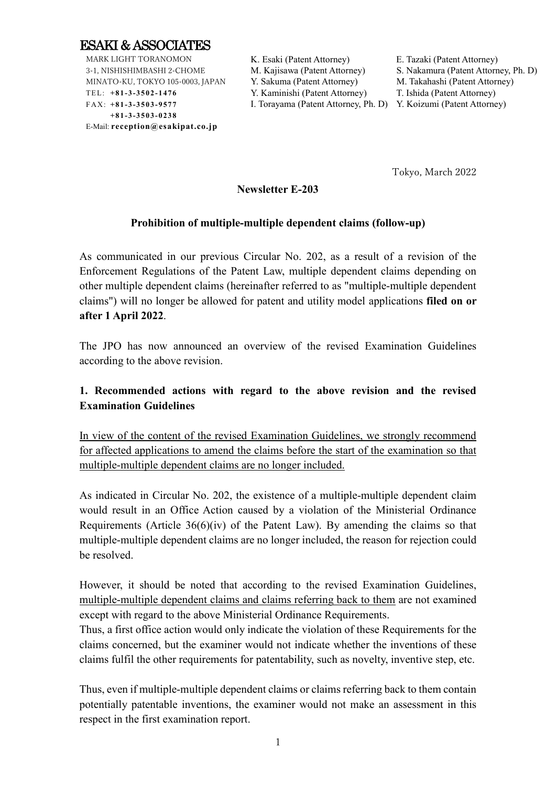

MARK LIGHT TORANOMON 3-1, NISHISHIMBASHI 2-CHOME MINATO-KU, TOKYO 105-0003, JAPAN TEL: **+8 1 -3 -3 5 0 2 -1 4 76** FAX: **+8 1 -3 -3 5 0 3 -9 5 77 +8 1 -3 -3 5 0 3 -0 2 38** E-Mail: **reception@esakipat.co.jp**

K. Esaki (Patent Attorney) E. Tazaki (Patent Attorney) Y. Sakuma (Patent Attorney) M. Takahashi (Patent Attorney)

M. Kajisawa (Patent Attorney) S. Nakamura (Patent Attorney, Ph. D) Y. Kaminishi (Patent Attorney) T. Ishida (Patent Attorney)

I. Torayama (Patent Attorney, Ph. D) Y. Koizumi (Patent Attorney)

Tokyo, March 2022

## **Newsletter E-203**

### **Prohibition of multiple-multiple dependent claims (follow-up)**

As communicated in our previous Circular No. 202, as a result of a revision of the Enforcement Regulations of the Patent Law, multiple dependent claims depending on other multiple dependent claims (hereinafter referred to as "multiple-multiple dependent claims") will no longer be allowed for patent and utility model applications **filed on or after 1 April 2022**.

The JPO has now announced an overview of the revised Examination Guidelines according to the above revision.

# **1. Recommended actions with regard to the above revision and the revised Examination Guidelines**

In view of the content of the revised Examination Guidelines, we strongly recommend for affected applications to amend the claims before the start of the examination so that multiple-multiple dependent claims are no longer included.

As indicated in Circular No. 202, the existence of a multiple-multiple dependent claim would result in an Office Action caused by a violation of the Ministerial Ordinance Requirements (Article 36(6)(iv) of the Patent Law). By amending the claims so that multiple-multiple dependent claims are no longer included, the reason for rejection could be resolved.

However, it should be noted that according to the revised Examination Guidelines, multiple-multiple dependent claims and claims referring back to them are not examined except with regard to the above Ministerial Ordinance Requirements.

Thus, a first office action would only indicate the violation of these Requirements for the claims concerned, but the examiner would not indicate whether the inventions of these claims fulfil the other requirements for patentability, such as novelty, inventive step, etc.

Thus, even if multiple-multiple dependent claims or claims referring back to them contain potentially patentable inventions, the examiner would not make an assessment in this respect in the first examination report.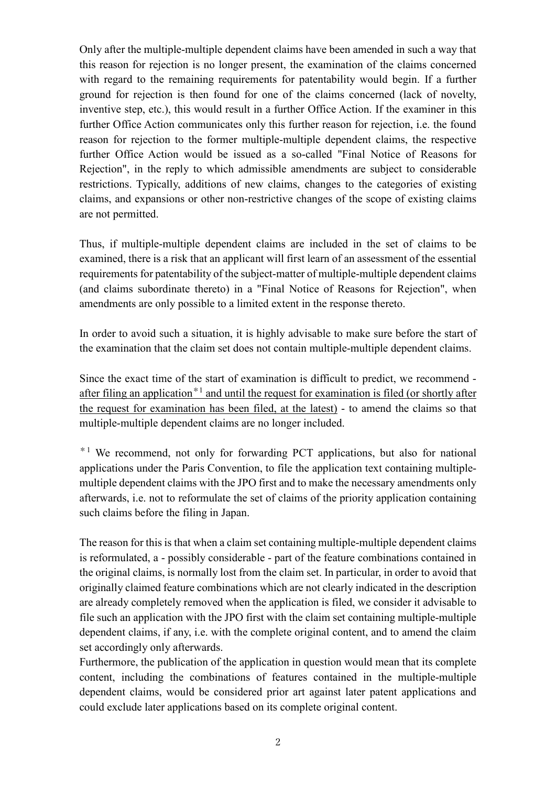Only after the multiple-multiple dependent claims have been amended in such a way that this reason for rejection is no longer present, the examination of the claims concerned with regard to the remaining requirements for patentability would begin. If a further ground for rejection is then found for one of the claims concerned (lack of novelty, inventive step, etc.), this would result in a further Office Action. If the examiner in this further Office Action communicates only this further reason for rejection, i.e. the found reason for rejection to the former multiple-multiple dependent claims, the respective further Office Action would be issued as a so-called "Final Notice of Reasons for Rejection", in the reply to which admissible amendments are subject to considerable restrictions. Typically, additions of new claims, changes to the categories of existing claims, and expansions or other non-restrictive changes of the scope of existing claims are not permitted.

Thus, if multiple-multiple dependent claims are included in the set of claims to be examined, there is a risk that an applicant will first learn of an assessment of the essential requirements for patentability of the subject-matter of multiple-multiple dependent claims (and claims subordinate thereto) in a "Final Notice of Reasons for Rejection", when amendments are only possible to a limited extent in the response thereto.

In order to avoid such a situation, it is highly advisable to make sure before the start of the examination that the claim set does not contain multiple-multiple dependent claims.

Since the exact time of the start of examination is difficult to predict, we recommend after filing an application<sup>\*1</sup> and until the request for examination is filed (or shortly after the request for examination has been filed, at the latest) - to amend the claims so that multiple-multiple dependent claims are no longer included.

\*<sup>1</sup> We recommend, not only for forwarding PCT applications, but also for national applications under the Paris Convention, to file the application text containing multiplemultiple dependent claims with the JPO first and to make the necessary amendments only afterwards, i.e. not to reformulate the set of claims of the priority application containing such claims before the filing in Japan.

The reason for this is that when a claim set containing multiple-multiple dependent claims is reformulated, a - possibly considerable - part of the feature combinations contained in the original claims, is normally lost from the claim set. In particular, in order to avoid that originally claimed feature combinations which are not clearly indicated in the description are already completely removed when the application is filed, we consider it advisable to file such an application with the JPO first with the claim set containing multiple-multiple dependent claims, if any, i.e. with the complete original content, and to amend the claim set accordingly only afterwards.

Furthermore, the publication of the application in question would mean that its complete content, including the combinations of features contained in the multiple-multiple dependent claims, would be considered prior art against later patent applications and could exclude later applications based on its complete original content.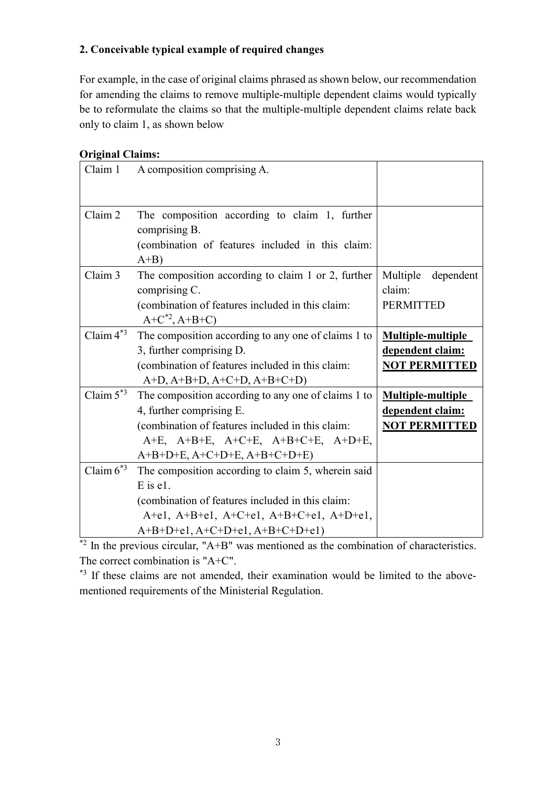## **2. Conceivable typical example of required changes**

For example, in the case of original claims phrased as shown below, our recommendation for amending the claims to remove multiple-multiple dependent claims would typically be to reformulate the claims so that the multiple-multiple dependent claims relate back only to claim 1, as shown below

### **Original Claims:**

| Claim 1        | A composition comprising A.                                                                                                                                                                                                       |                                                                      |
|----------------|-----------------------------------------------------------------------------------------------------------------------------------------------------------------------------------------------------------------------------------|----------------------------------------------------------------------|
|                |                                                                                                                                                                                                                                   |                                                                      |
| Claim 2        | The composition according to claim 1, further<br>comprising B.                                                                                                                                                                    |                                                                      |
|                | (combination of features included in this claim:<br>$A+B$                                                                                                                                                                         |                                                                      |
| Claim 3        | The composition according to claim 1 or 2, further<br>comprising C.<br>(combination of features included in this claim:<br>$A+C^{*2}, A+B+C)$                                                                                     | Multiple<br>dependent<br>claim:<br><b>PERMITTED</b>                  |
| Claim $4^{*3}$ | The composition according to any one of claims 1 to<br>3, further comprising D.<br>(combination of features included in this claim:<br>$A+D$ , $A+B+D$ , $A+C+D$ , $A+B+C+D$ )                                                    | <b>Multiple-multiple</b><br>dependent claim:<br><b>NOT PERMITTED</b> |
| Claim $5^{*3}$ | The composition according to any one of claims 1 to<br>4, further comprising E.<br>(combination of features included in this claim:<br>$A+E$ , $A+B+E$ , $A+C+E$ , $A+B+C+E$ , $A+D+E$ ,<br>$A+B+D+E$ , $A+C+D+E$ , $A+B+C+D+E$ ) | Multiple-multiple<br>dependent claim:<br><b>NOT PERMITTED</b>        |
| Claim $6^{*3}$ | The composition according to claim 5, wherein said<br>$E$ is $e1$ .<br>(combination of features included in this claim:<br>$A+el$ , $A+B+el$ , $A+C+el$ , $A+B+C+el$ , $A+D+el$ ,<br>$A+B+D+e1, A+C+D+e1, A+B+C+D+e1)$            |                                                                      |

 $*$ <sup>2</sup> In the previous circular, "A+B" was mentioned as the combination of characteristics. The correct combination is "A+C".

\*<sup>3</sup> If these claims are not amended, their examination would be limited to the abovementioned requirements of the Ministerial Regulation.